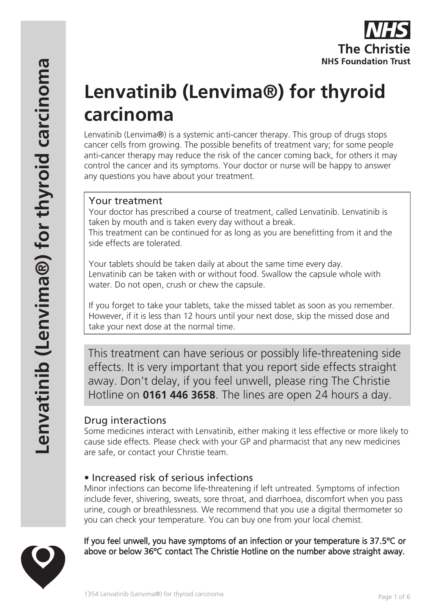

# **Lenvatinib (Lenvima®) for thyroid carcinoma**

Lenvatinib (Lenvima®) is a systemic anti-cancer therapy. This group of drugs stops cancer cells from growing. The possible benefits of treatment vary; for some people anti-cancer therapy may reduce the risk of the cancer coming back, for others it may control the cancer and its symptoms. Your doctor or nurse will be happy to answer any questions you have about your treatment.

# Your treatment

Your doctor has prescribed a course of treatment, called Lenvatinib. Lenvatinib is taken by mouth and is taken every day without a break. This treatment can be continued for as long as you are benefitting from it and the side effects are tolerated.

Your tablets should be taken daily at about the same time every day. Lenvatinib can be taken with or without food. Swallow the capsule whole with water. Do not open, crush or chew the capsule.

If you forget to take your tablets, take the missed tablet as soon as you remember. However, if it is less than 12 hours until your next dose, skip the missed dose and take your next dose at the normal time.

This treatment can have serious or possibly life-threatening side effects. It is very important that you report side effects straight away. Don't delay, if you feel unwell, please ring The Christie Hotline on **0161 446 3658**. The lines are open 24 hours a day.

# Drug interactions

Some medicines interact with Lenvatinib, either making it less effective or more likely to cause side effects. Please check with your GP and pharmacist that any new medicines are safe, or contact your Christie team.

# • Increased risk of serious infections

Minor infections can become life-threatening if left untreated. Symptoms of infection include fever, shivering, sweats, sore throat, and diarrhoea, discomfort when you pass urine, cough or breathlessness. We recommend that you use a digital thermometer so you can check your temperature. You can buy one from your local chemist.

### If you feel unwell, you have symptoms of an infection or your temperature is 37.5ºC or above or below 36ºC contact The Christie Hotline on the number above straight away.

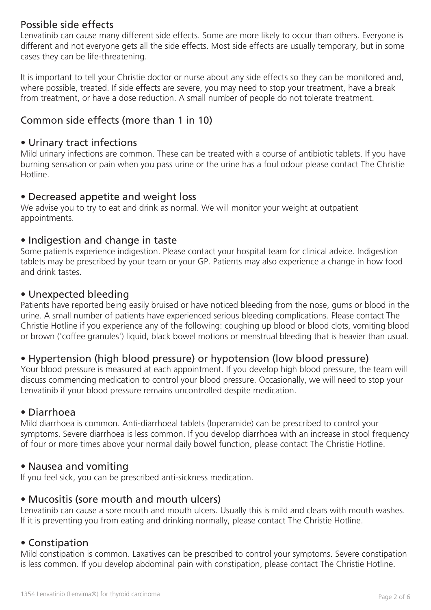## Possible side effects

Lenvatinib can cause many different side effects. Some are more likely to occur than others. Everyone is different and not everyone gets all the side effects. Most side effects are usually temporary, but in some cases they can be life-threatening.

It is important to tell your Christie doctor or nurse about any side effects so they can be monitored and, where possible, treated. If side effects are severe, you may need to stop your treatment, have a break from treatment, or have a dose reduction. A small number of people do not tolerate treatment.

## Common side effects (more than 1 in 10)

#### • Urinary tract infections

Mild urinary infections are common. These can be treated with a course of antibiotic tablets. If you have burning sensation or pain when you pass urine or the urine has a foul odour please contact The Christie Hotline.

### • Decreased appetite and weight loss

We advise you to try to eat and drink as normal. We will monitor your weight at outpatient appointments.

#### • Indigestion and change in taste

Some patients experience indigestion. Please contact your hospital team for clinical advice. Indigestion tablets may be prescribed by your team or your GP. Patients may also experience a change in how food and drink tastes.

#### • Unexpected bleeding

Patients have reported being easily bruised or have noticed bleeding from the nose, gums or blood in the urine. A small number of patients have experienced serious bleeding complications. Please contact The Christie Hotline if you experience any of the following: coughing up blood or blood clots, vomiting blood or brown ('coffee granules') liquid, black bowel motions or menstrual bleeding that is heavier than usual.

### • Hypertension (high blood pressure) or hypotension (low blood pressure)

Your blood pressure is measured at each appointment. If you develop high blood pressure, the team will discuss commencing medication to control your blood pressure. Occasionally, we will need to stop your Lenvatinib if your blood pressure remains uncontrolled despite medication.

#### • Diarrhoea

Mild diarrhoea is common. Anti-diarrhoeal tablets (loperamide) can be prescribed to control your symptoms. Severe diarrhoea is less common. If you develop diarrhoea with an increase in stool frequency of four or more times above your normal daily bowel function, please contact The Christie Hotline.

#### • Nausea and vomiting

If you feel sick, you can be prescribed anti-sickness medication.

#### • Mucositis (sore mouth and mouth ulcers)

Lenvatinib can cause a sore mouth and mouth ulcers. Usually this is mild and clears with mouth washes. If it is preventing you from eating and drinking normally, please contact The Christie Hotline.

### • Constipation

Mild constipation is common. Laxatives can be prescribed to control your symptoms. Severe constipation is less common. If you develop abdominal pain with constipation, please contact The Christie Hotline.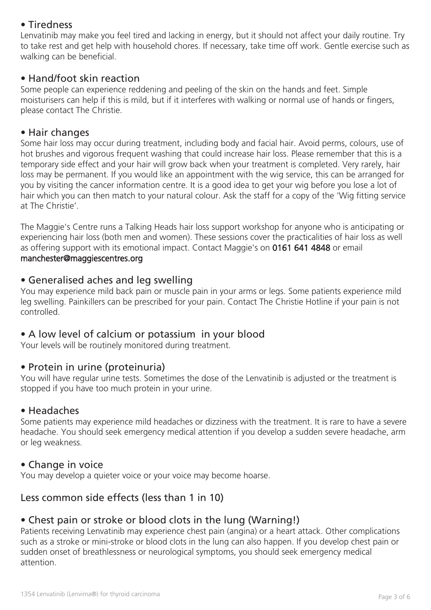# • Tiredness

Lenvatinib may make you feel tired and lacking in energy, but it should not affect your daily routine. Try to take rest and get help with household chores. If necessary, take time off work. Gentle exercise such as walking can be beneficial.

#### • Hand/foot skin reaction

Some people can experience reddening and peeling of the skin on the hands and feet. Simple moisturisers can help if this is mild, but if it interferes with walking or normal use of hands or fingers, please contact The Christie.

#### • Hair changes

Some hair loss may occur during treatment, including body and facial hair. Avoid perms, colours, use of hot brushes and vigorous frequent washing that could increase hair loss. Please remember that this is a temporary side effect and your hair will grow back when your treatment is completed. Very rarely, hair loss may be permanent. If you would like an appointment with the wig service, this can be arranged for you by visiting the cancer information centre. It is a good idea to get your wig before you lose a lot of hair which you can then match to your natural colour. Ask the staff for a copy of the 'Wig fitting service at The Christie'.

The Maggie's Centre runs a Talking Heads hair loss support workshop for anyone who is anticipating or experiencing hair loss (both men and women). These sessions cover the practicalities of hair loss as well as offering support with its emotional impact. Contact Maggie's on 0161 641 4848 or email manchester@maggiescentres.org

### • Generalised aches and leg swelling

You may experience mild back pain or muscle pain in your arms or legs. Some patients experience mild leg swelling. Painkillers can be prescribed for your pain. Contact The Christie Hotline if your pain is not controlled.

### • A low level of calcium or potassium in your blood

Your levels will be routinely monitored during treatment.

### • Protein in urine (proteinuria)

You will have regular urine tests. Sometimes the dose of the Lenvatinib is adjusted or the treatment is stopped if you have too much protein in your urine.

#### • Headaches

Some patients may experience mild headaches or dizziness with the treatment. It is rare to have a severe headache. You should seek emergency medical attention if you develop a sudden severe headache, arm or leg weakness.

#### • Change in voice

You may develop a quieter voice or your voice may become hoarse.

## Less common side effects (less than 1 in 10)

### • Chest pain or stroke or blood clots in the lung (Warning!)

Patients receiving Lenvatinib may experience chest pain (angina) or a heart attack. Other complications such as a stroke or mini-stroke or blood clots in the lung can also happen. If you develop chest pain or sudden onset of breathlessness or neurological symptoms, you should seek emergency medical attention.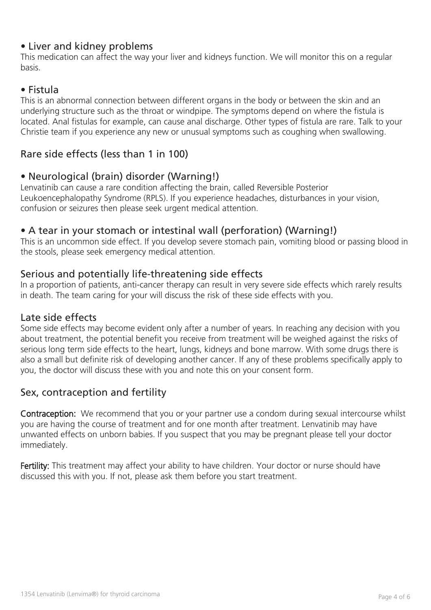## • Liver and kidney problems

This medication can affect the way your liver and kidneys function. We will monitor this on a regular basis.

## • Fistula

This is an abnormal connection between different organs in the body or between the skin and an underlying structure such as the throat or windpipe. The symptoms depend on where the fistula is located. Anal fistulas for example, can cause anal discharge. Other types of fistula are rare. Talk to your Christie team if you experience any new or unusual symptoms such as coughing when swallowing.

## Rare side effects (less than 1 in 100)

## • Neurological (brain) disorder (Warning!)

Lenvatinib can cause a rare condition affecting the brain, called Reversible Posterior Leukoencephalopathy Syndrome (RPLS). If you experience headaches, disturbances in your vision, confusion or seizures then please seek urgent medical attention.

## • A tear in your stomach or intestinal wall (perforation) (Warning!)

This is an uncommon side effect. If you develop severe stomach pain, vomiting blood or passing blood in the stools, please seek emergency medical attention.

### Serious and potentially life-threatening side effects

In a proportion of patients, anti-cancer therapy can result in very severe side effects which rarely results in death. The team caring for your will discuss the risk of these side effects with you.

#### Late side effects

Some side effects may become evident only after a number of years. In reaching any decision with you about treatment, the potential benefit you receive from treatment will be weighed against the risks of serious long term side effects to the heart, lungs, kidneys and bone marrow. With some drugs there is also a small but definite risk of developing another cancer. If any of these problems specifically apply to you, the doctor will discuss these with you and note this on your consent form.

## Sex, contraception and fertility

Contraception: We recommend that you or your partner use a condom during sexual intercourse whilst you are having the course of treatment and for one month after treatment. Lenvatinib may have unwanted effects on unborn babies. If you suspect that you may be pregnant please tell your doctor immediately.

Fertility: This treatment may affect your ability to have children. Your doctor or nurse should have discussed this with you. If not, please ask them before you start treatment.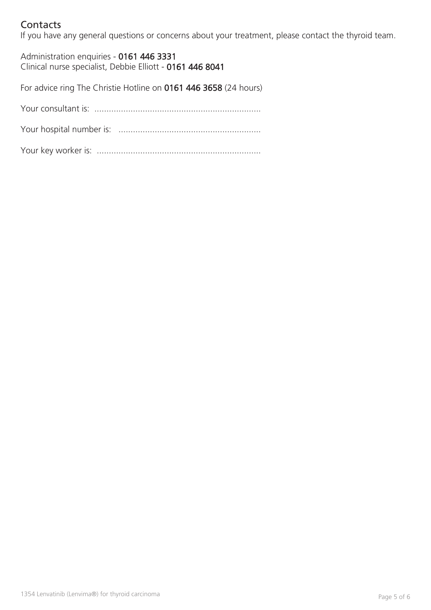# Contacts

If you have any general questions or concerns about your treatment, please contact the thyroid team.

Administration enquiries - 0161 446 3331 Clinical nurse specialist, Debbie Elliott - 0161 446 8041

For advice ring The Christie Hotline on 0161 446 3658 (24 hours)

Your consultant is: .....................................................................

Your hospital number is: ...........................................................

Your key worker is: ....................................................................